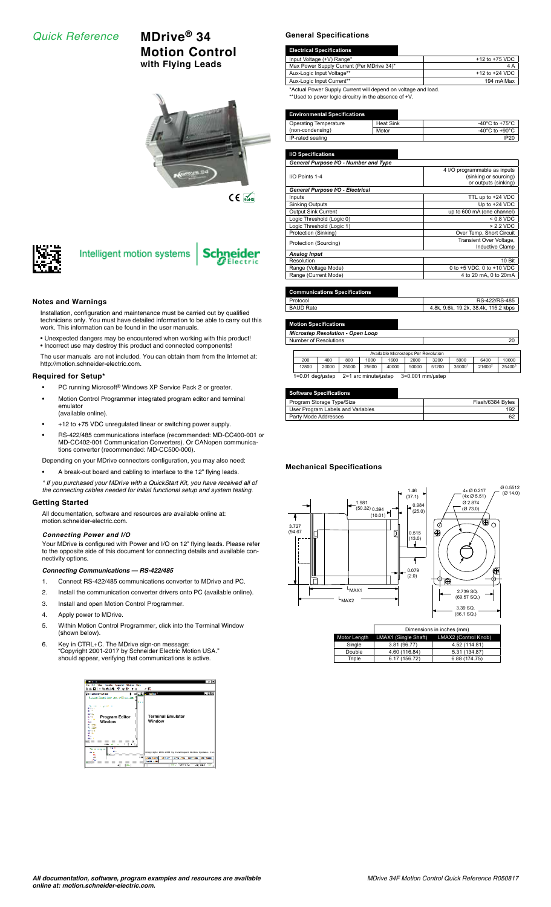# *Quick Reference* **MDrive® 34**

# **Motion Control with Flying Leads**



 $C \in \overline{\mathbb{R}}$ 

**Schneider** 



# Intelligent motion systems

# **Notes and Warnings**

- Installation, configuration and maintenance must be carried out by qualified technicians only. You must have detailed information to be able to carry out this work. This information can be found in the user manuals.
- Unexpected dangers may be encountered when working with this product!
- Incorrect use may destroy this product and connected components!
- The user manuals are not included. You can obtain them from the Internet at: http://motion.schneider-electric.com.

## **Required for Setup\***

- PC running Microsoft® Windows XP Service Pack 2 or greater.
- Motion Control Programmer integrated program editor and terminal emulator
	- (available online).
- +12 to +75 VDC unregulated linear or switching power supply.
- RS-422/485 communications interface (recommended: MD-CC400-001 or MD-CC402-001 Communication Converters). Or CANopen communications converter (recommended: MD-CC500-000).

Depending on your MDrive connectors configuration, you may also need:

- A break-out board and cabling to interface to the 12" flying leads.
- *\* If you purchased your MDrive with a QuickStart Kit, you have received all of the connecting cables needed for initial functional setup and system testing.*

## **Getting Started**

All documentation, software and resources are available online at: motion.schneider-electric.com.

# *Connecting Power and I/O*

Your MDrive is configured with Power and I/O on 12" flying leads. Please refer to the opposite side of this document for connecting details and available connectivity options.

## *Connecting Communications — RS-422/485*

- 1. Connect RS-422/485 communications converter to MDrive and PC.
- 2. Install the communication converter drivers onto PC (available online).
- 3. Install and open Motion Control Programmer.
- 4. Apply power to MDrive.
- 5. Within Motion Control Programmer, click into the Terminal Window (shown below).
- 6. Key in CTRL+C. The MDrive sign-on message: "Copyright 2001-2017 by Schneider Electric Motion USA." should appear, verifying that communications is active.



#### **General Specifications**

| <b>Electrical Specifications</b>                             |                    |
|--------------------------------------------------------------|--------------------|
| Input Voltage (+V) Range*                                    | $+12$ to $+75$ VDC |
| Max Power Supply Current (Per MDrive 34)*                    | 4 A                |
| Aux-Logic Input Voltage**                                    | $+12$ to $+24$ VDC |
| Aux-Logic Input Current**                                    | 194 mA Max         |
| *Actual Power Supply Current will depend on voltage and load |                    |

\*Actual Power Supply Current will depend on voltage and load. \*\*Used to power logic circuitry in the absence of +V.

#### **Environmental Specifications**

| <b>Operating Temperature</b> | <b>Heat Sink</b> | -40 $^{\circ}$ C to +75 $^{\circ}$ C |
|------------------------------|------------------|--------------------------------------|
| (non-condensing)             | Motor            | -40 $^{\circ}$ C to +90 $^{\circ}$ C |
| IP-rated sealing             | <b>IP20</b>      |                                      |

| I/O Specifications                    |                              |
|---------------------------------------|------------------------------|
| General Purpose I/O - Number and Type |                              |
|                                       | 4 I/O programmable as inputs |
| I/O Points 1-4                        | (sinking or sourcing)        |
|                                       | or outputs (sinking)         |
| General Purpose I/O - Electrical      |                              |
| Inputs                                | TTL up to +24 VDC            |
| <b>Sinking Outputs</b>                | Up to $+24$ VDC              |
| <b>Output Sink Current</b>            | up to 600 mA (one channel)   |
| Logic Threshold (Logic 0)             | $< 0.8$ VDC                  |
| Logic Threshold (Logic 1)             | $> 2.2$ VDC                  |
| Protection (Sinking)                  | Over Temp, Short Circuit     |
| Protection (Sourcing)                 | Transient Over Voltage,      |
|                                       | Inductive Clamp              |
| <b>Analog Input</b>                   |                              |
| Resolution                            | 10 Bit                       |
| Range (Voltage Mode)                  | 0 to +5 VDC, 0 to +10 VDC    |
| Range (Current Mode)                  | 4 to 20 mA, 0 to 20mA        |
|                                       |                              |

#### **Communications Specifications**

| Protocol  | RS-422/RS-485                        |
|-----------|--------------------------------------|
| BAUD Rate | 4.8k, 9.6k, 19.2k, 38.4k, 115.2 kbps |

**Ion Specificat** 

*Microstep Resolution - Open Loop* Number of Resolutions 20

|                                                                |       |       |       | Available Microsteps Per Revolution |       |       |        |                    |        |
|----------------------------------------------------------------|-------|-------|-------|-------------------------------------|-------|-------|--------|--------------------|--------|
| 200                                                            | 400   | 800   | 1000  | 1600                                | 2000  | 3200  | 5000   | 6400               | 10000  |
| 12800                                                          | 20000 | 25000 | 25600 | 40000                               | 50000 | 51200 | 360001 | 21600 <sup>2</sup> | 254003 |
| 3=0.001 mm/ustep<br>2=1 arc minute/ustep<br>$1=0.01$ deg/ustep |       |       |       |                                     |       |       |        |                    |        |

# **Software Specifications**

| Program Storage Type/Size         | Flash/6384 Bytes |
|-----------------------------------|------------------|
| User Program Labels and Variables |                  |
| Party Mode Addresses              |                  |
|                                   |                  |

### **Mechanical Specifications**